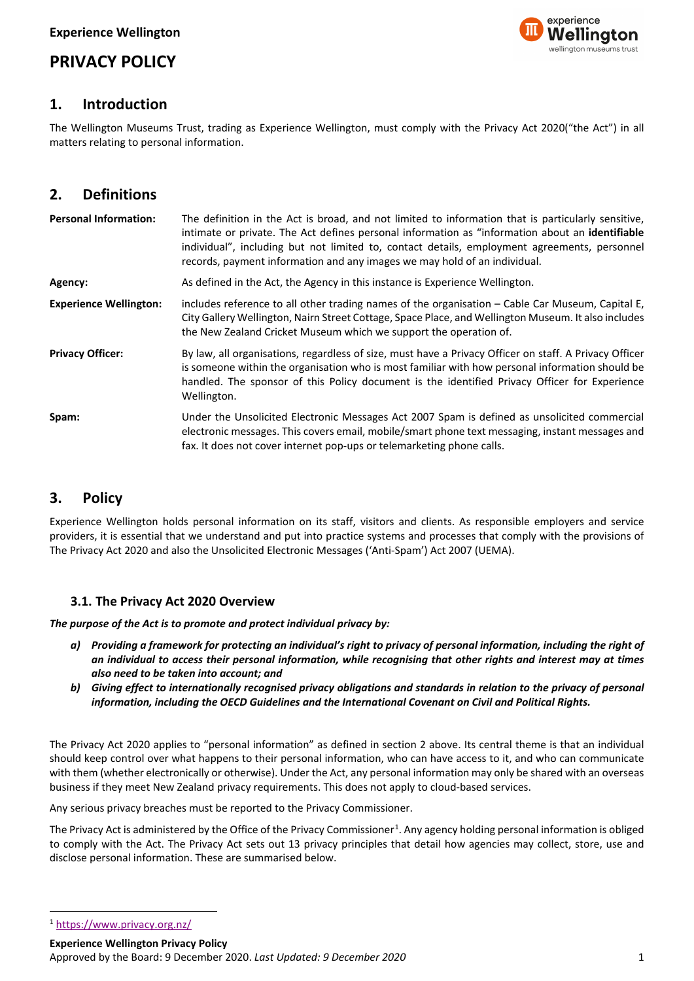# experience wellinaton museums trust

# **PRIVACY POLICY**

# **1. Introduction**

The Wellington Museums Trust, trading as Experience Wellington, must comply with the Privacy Act 2020("the Act") in all matters relating to personal information.

# **2. Definitions**

| <b>Personal Information:</b>  | The definition in the Act is broad, and not limited to information that is particularly sensitive,<br>intimate or private. The Act defines personal information as "information about an identifiable<br>individual", including but not limited to, contact details, employment agreements, personnel<br>records, payment information and any images we may hold of an individual. |
|-------------------------------|------------------------------------------------------------------------------------------------------------------------------------------------------------------------------------------------------------------------------------------------------------------------------------------------------------------------------------------------------------------------------------|
| Agency:                       | As defined in the Act, the Agency in this instance is Experience Wellington.                                                                                                                                                                                                                                                                                                       |
| <b>Experience Wellington:</b> | includes reference to all other trading names of the organisation - Cable Car Museum, Capital E,<br>City Gallery Wellington, Nairn Street Cottage, Space Place, and Wellington Museum. It also includes<br>the New Zealand Cricket Museum which we support the operation of.                                                                                                       |
| <b>Privacy Officer:</b>       | By law, all organisations, regardless of size, must have a Privacy Officer on staff. A Privacy Officer<br>is someone within the organisation who is most familiar with how personal information should be<br>handled. The sponsor of this Policy document is the identified Privacy Officer for Experience<br>Wellington.                                                          |
| Spam:                         | Under the Unsolicited Electronic Messages Act 2007 Spam is defined as unsolicited commercial<br>electronic messages. This covers email, mobile/smart phone text messaging, instant messages and<br>fax. It does not cover internet pop-ups or telemarketing phone calls.                                                                                                           |

# **3. Policy**

Experience Wellington holds personal information on its staff, visitors and clients. As responsible employers and service providers, it is essential that we understand and put into practice systems and processes that comply with the provisions of The Privacy Act 2020 and also the Unsolicited Electronic Messages ('Anti-Spam') Act 2007 (UEMA).

# **3.1. The Privacy Act 2020 Overview**

*The purpose of the Act is to promote and protect individual privacy by:*

- *a) Providing a framework for protecting an individual's right to privacy of personal information, including the right of an individual to access their personal information, while recognising that other rights and interest may at times also need to be taken into account; and*
- *b) Giving effect to internationally recognised privacy obligations and standards in relation to the privacy of personal information, including the OECD Guidelines and the International Covenant on Civil and Political Rights.*

The Privacy Act 2020 applies to "personal information" as defined in section 2 above. Its central theme is that an individual should keep control over what happens to their personal information, who can have access to it, and who can communicate with them (whether electronically or otherwise). Under the Act, any personal information may only be shared with an overseas business if they meet New Zealand privacy requirements. This does not apply to cloud-based services.

Any serious privacy breaches must be reported to the Privacy Commissioner.

The Privacy Act is administered by the Office of the Privacy Commissioner<sup>[1](#page-0-0)</sup>. Any agency holding personal information is obliged to comply with the Act. The Privacy Act sets out 13 privacy principles that detail how agencies may collect, store, use and disclose personal information. These are summarised below.

**Experience Wellington Privacy Policy**

<span id="page-0-0"></span><sup>1</sup> <https://www.privacy.org.nz/>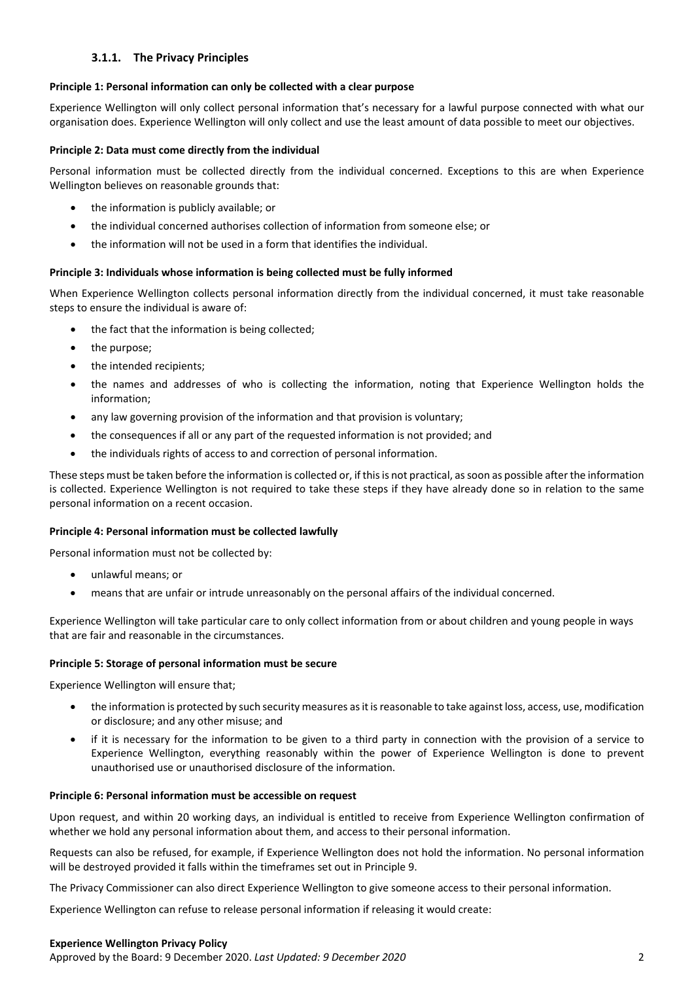## **3.1.1. The Privacy Principles**

#### **Principle 1: Personal information can only be collected with a clear purpose**

Experience Wellington will only collect personal information that's necessary for a lawful purpose connected with what our organisation does. Experience Wellington will only collect and use the least amount of data possible to meet our objectives.

#### **Principle 2: Data must come directly from the individual**

Personal information must be collected directly from the individual concerned. Exceptions to this are when Experience Wellington believes on reasonable grounds that:

- the information is publicly available; or
- the individual concerned authorises collection of information from someone else; or
- the information will not be used in a form that identifies the individual.

#### **Principle 3: Individuals whose information is being collected must be fully informed**

When Experience Wellington collects personal information directly from the individual concerned, it must take reasonable steps to ensure the individual is aware of:

- the fact that the information is being collected;
- the purpose;
- the intended recipients;
- the names and addresses of who is collecting the information, noting that Experience Wellington holds the information;
- any law governing provision of the information and that provision is voluntary;
- the consequences if all or any part of the requested information is not provided; and
- the individuals rights of access to and correction of personal information.

These steps must be taken before the information is collected or, if this is not practical, as soon as possible after the information is collected. Experience Wellington is not required to take these steps if they have already done so in relation to the same personal information on a recent occasion.

#### **Principle 4: Personal information must be collected lawfully**

Personal information must not be collected by:

- unlawful means; or
- means that are unfair or intrude unreasonably on the personal affairs of the individual concerned.

Experience Wellington will take particular care to only collect information from or about children and young people in ways that are fair and reasonable in the circumstances.

#### **Principle 5: Storage of personal information must be secure**

Experience Wellington will ensure that;

- the information is protected by such security measures as it is reasonable to take against loss, access, use, modification or disclosure; and any other misuse; and
- if it is necessary for the information to be given to a third party in connection with the provision of a service to Experience Wellington, everything reasonably within the power of Experience Wellington is done to prevent unauthorised use or unauthorised disclosure of the information.

#### **Principle 6: Personal information must be accessible on request**

Upon request, and within 20 working days, an individual is entitled to receive from Experience Wellington confirmation of whether we hold any personal information about them, and access to their personal information.

Requests can also be refused, for example, if Experience Wellington does not hold the information. No personal information will be destroyed provided it falls within the timeframes set out in Principle 9.

The Privacy Commissioner can also direct Experience Wellington to give someone access to their personal information.

Experience Wellington can refuse to release personal information if releasing it would create:

#### **Experience Wellington Privacy Policy**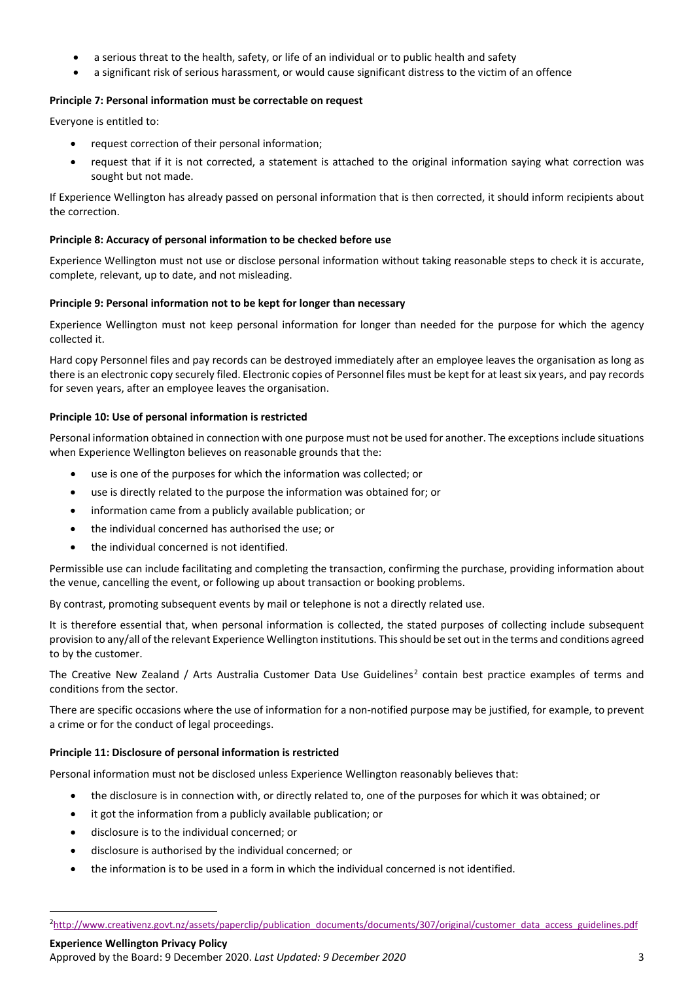- a serious threat to the health, safety, or life of an individual or to public health and safety
- a significant risk of serious harassment, or would cause significant distress to the victim of an offence

#### **Principle 7: Personal information must be correctable on request**

Everyone is entitled to:

- request correction of their personal information;
- request that if it is not corrected, a statement is attached to the original information saying what correction was sought but not made.

If Experience Wellington has already passed on personal information that is then corrected, it should inform recipients about the correction.

#### **Principle 8: Accuracy of personal information to be checked before use**

Experience Wellington must not use or disclose personal information without taking reasonable steps to check it is accurate, complete, relevant, up to date, and not misleading.

#### **Principle 9: Personal information not to be kept for longer than necessary**

Experience Wellington must not keep personal information for longer than needed for the purpose for which the agency collected it.

Hard copy Personnel files and pay records can be destroyed immediately after an employee leaves the organisation as long as there is an electronic copy securely filed. Electronic copies of Personnel files must be kept for at least six years, and pay records for seven years, after an employee leaves the organisation.

#### **Principle 10: Use of personal information is restricted**

Personal information obtained in connection with one purpose must not be used for another. The exceptions include situations when Experience Wellington believes on reasonable grounds that the:

- use is one of the purposes for which the information was collected; or
- use is directly related to the purpose the information was obtained for; or
- information came from a publicly available publication; or
- the individual concerned has authorised the use; or
- the individual concerned is not identified.

Permissible use can include facilitating and completing the transaction, confirming the purchase, providing information about the venue, cancelling the event, or following up about transaction or booking problems.

By contrast, promoting subsequent events by mail or telephone is not a directly related use.

It is therefore essential that, when personal information is collected, the stated purposes of collecting include subsequent provision to any/all of the relevant Experience Wellington institutions. This should be set out in the terms and conditions agreed to by the customer.

The Creative New Zealand / Arts Australia Customer Data Use Guidelines<sup>[2](#page-2-0)</sup> contain best practice examples of terms and conditions from the sector.

There are specific occasions where the use of information for a non-notified purpose may be justified, for example, to prevent a crime or for the conduct of legal proceedings.

#### **Principle 11: Disclosure of personal information is restricted**

Personal information must not be disclosed unless Experience Wellington reasonably believes that:

- the disclosure is in connection with, or directly related to, one of the purposes for which it was obtained; or
- it got the information from a publicly available publication; or
- disclosure is to the individual concerned; or
- disclosure is authorised by the individual concerned; or
- the information is to be used in a form in which the individual concerned is not identified.

<span id="page-2-0"></span>**Experience Wellington Privacy Policy**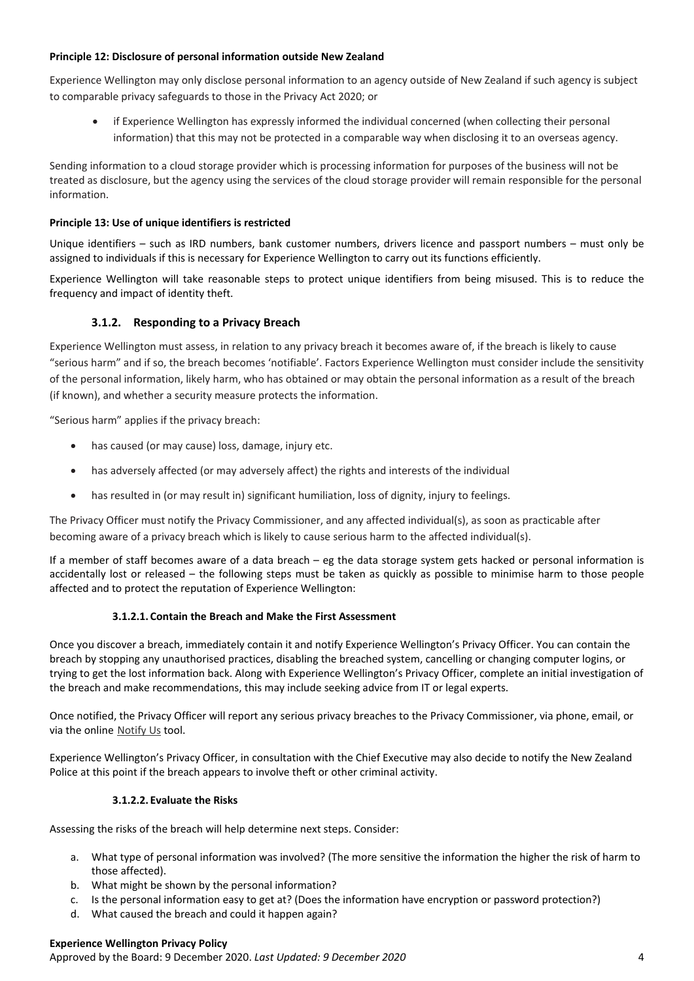#### **Principle 12: Disclosure of personal information outside New Zealand**

Experience Wellington may only disclose personal information to an agency outside of New Zealand if such agency is subject to comparable privacy safeguards to those in the Privacy Act 2020; or

• if Experience Wellington has expressly informed the individual concerned (when collecting their personal information) that this may not be protected in a comparable way when disclosing it to an overseas agency.

Sending information to a cloud storage provider which is processing information for purposes of the business will not be treated as disclosure, but the agency using the services of the cloud storage provider will remain responsible for the personal information.

#### **Principle 13: Use of unique identifiers is restricted**

Unique identifiers – such as IRD numbers, bank customer numbers, drivers licence and passport numbers – must only be assigned to individuals if this is necessary for Experience Wellington to carry out its functions efficiently.

Experience Wellington will take reasonable steps to protect unique identifiers from being misused. This is to reduce the frequency and impact of identity theft.

## **3.1.2. Responding to a Privacy Breach**

Experience Wellington must assess, in relation to any privacy breach it becomes aware of, if the breach is likely to cause "serious harm" and if so, the breach becomes 'notifiable'. Factors Experience Wellington must consider include the sensitivity of the personal information, likely harm, who has obtained or may obtain the personal information as a result of the breach (if known), and whether a security measure protects the information.

"Serious harm" applies if the privacy breach:

- has caused (or may cause) loss, damage, injury etc.
- has adversely affected (or may adversely affect) the rights and interests of the individual
- has resulted in (or may result in) significant humiliation, loss of dignity, injury to feelings.

The Privacy Officer must notify the Privacy Commissioner, and any affected individual(s), as soon as practicable after becoming aware of a privacy breach which is likely to cause serious harm to the affected individual(s).

If a member of staff becomes aware of a data breach – eg the data storage system gets hacked or personal information is accidentally lost or released – the following steps must be taken as quickly as possible to minimise harm to those people affected and to protect the reputation of Experience Wellington:

#### **3.1.2.1. Contain the Breach and Make the First Assessment**

Once you discover a breach, immediately contain it and notify Experience Wellington's Privacy Officer. You can contain the breach by stopping any unauthorised practices, disabling the breached system, cancelling or changing computer logins, or trying to get the lost information back. Along with Experience Wellington's Privacy Officer, complete an initial investigation of the breach and make recommendations, this may include seeking advice from IT or legal experts.

Once notified, the Privacy Officer will report any serious privacy breaches to the Privacy Commissioner, via phone, email, or via the online [Notify Us](https://privacy.org.nz/responsibilities/privacy-breaches/notify-us/) tool.

Experience Wellington's Privacy Officer, in consultation with the Chief Executive may also decide to notify the New Zealand Police at this point if the breach appears to involve theft or other criminal activity.

#### **3.1.2.2. Evaluate the Risks**

Assessing the risks of the breach will help determine next steps. Consider:

- a. What type of personal information was involved? (The more sensitive the information the higher the risk of harm to those affected).
- b. What might be shown by the personal information?
- c. Is the personal information easy to get at? (Does the information have encryption or password protection?)
- d. What caused the breach and could it happen again?

#### **Experience Wellington Privacy Policy**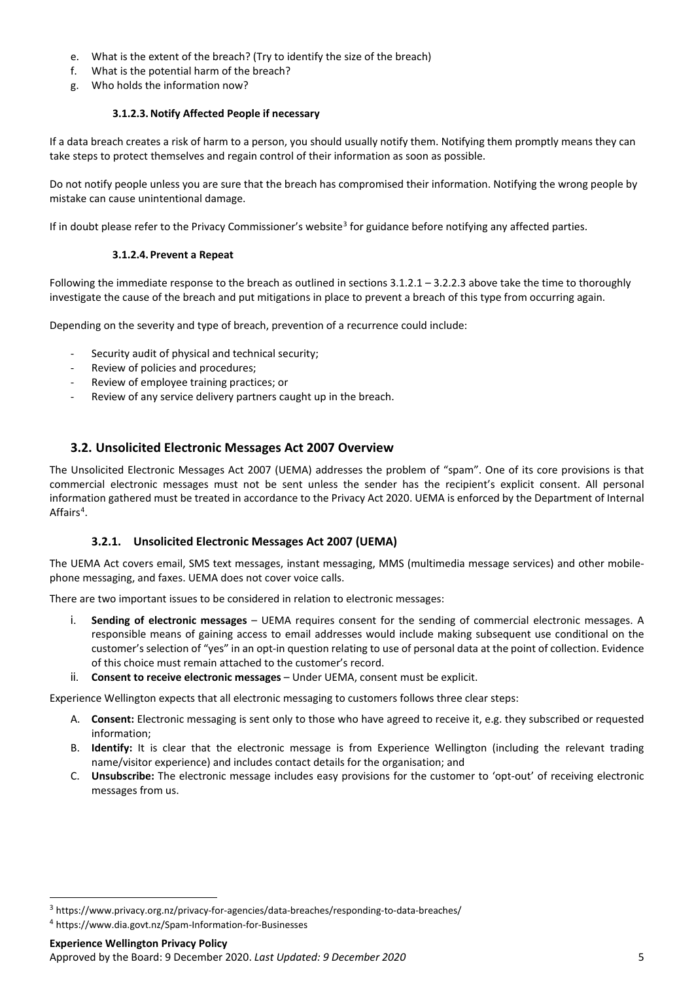- e. What is the extent of the breach? (Try to identify the size of the breach)
- f. What is the potential harm of the breach?
- g. Who holds the information now?

## **3.1.2.3.Notify Affected People if necessary**

If a data breach creates a risk of harm to a person, you should usually notify them. Notifying them promptly means they can take steps to protect themselves and regain control of their information as soon as possible.

Do not notify people unless you are sure that the breach has compromised their information. Notifying the wrong people by mistake can cause unintentional damage.

If in doubt please refer to the Privacy Commissioner's website<sup>[3](#page-4-0)</sup> for guidance before notifying any affected parties.

## **3.1.2.4. Prevent a Repeat**

Following the immediate response to the breach as outlined in sections 3.1.2.1 – 3.2.2.3 above take the time to thoroughly investigate the cause of the breach and put mitigations in place to prevent a breach of this type from occurring again.

Depending on the severity and type of breach, prevention of a recurrence could include:

- Security audit of physical and technical security:
- Review of policies and procedures;
- Review of employee training practices; or
- Review of any service delivery partners caught up in the breach.

# **3.2. Unsolicited Electronic Messages Act 2007 Overview**

The Unsolicited Electronic Messages Act 2007 (UEMA) addresses the problem of "spam". One of its core provisions is that commercial electronic messages must not be sent unless the sender has the recipient's explicit consent. All personal information gathered must be treated in accordance to the Privacy Act 2020. UEMA is enforced by the Department of Internal Affairs<sup>[4](#page-4-1)</sup>.

## **3.2.1. Unsolicited Electronic Messages Act 2007 (UEMA)**

The UEMA Act covers email, SMS text messages, instant messaging, MMS (multimedia message services) and other mobilephone messaging, and faxes. UEMA does not cover voice calls.

There are two important issues to be considered in relation to electronic messages:

- i. **Sending of electronic messages** UEMA requires consent for the sending of commercial electronic messages. A responsible means of gaining access to email addresses would include making subsequent use conditional on the customer's selection of "yes" in an opt-in question relating to use of personal data at the point of collection. Evidence of this choice must remain attached to the customer's record.
- ii. **Consent to receive electronic messages** Under UEMA, consent must be explicit.

Experience Wellington expects that all electronic messaging to customers follows three clear steps:

- A. **Consent:** Electronic messaging is sent only to those who have agreed to receive it, e.g. they subscribed or requested information;
- B. **Identify:** It is clear that the electronic message is from Experience Wellington (including the relevant trading name/visitor experience) and includes contact details for the organisation; and
- C. **Unsubscribe:** The electronic message includes easy provisions for the customer to 'opt-out' of receiving electronic messages from us.

<span id="page-4-0"></span><sup>3</sup> https://www.privacy.org.nz/privacy-for-agencies/data-breaches/responding-to-data-breaches/

<span id="page-4-1"></span><sup>4</sup> https://www.dia.govt.nz/Spam-Information-for-Businesses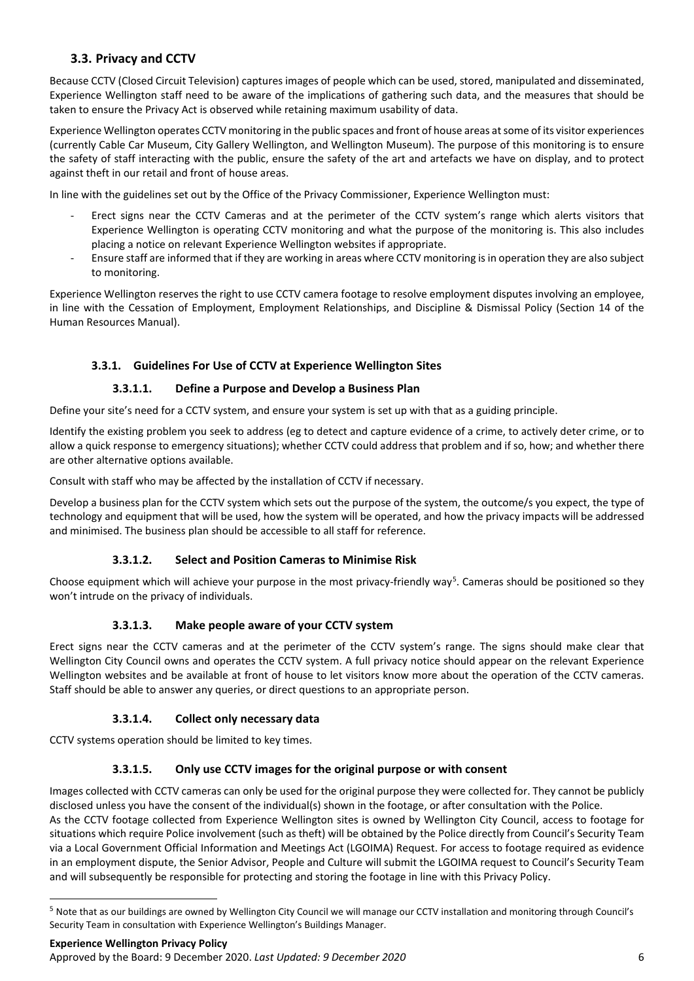# **3.3. Privacy and CCTV**

Because CCTV (Closed Circuit Television) captures images of people which can be used, stored, manipulated and disseminated, Experience Wellington staff need to be aware of the implications of gathering such data, and the measures that should be taken to ensure the Privacy Act is observed while retaining maximum usability of data.

Experience Wellington operates CCTV monitoring in the public spaces and front of house areas at some of its visitor experiences (currently Cable Car Museum, City Gallery Wellington, and Wellington Museum). The purpose of this monitoring is to ensure the safety of staff interacting with the public, ensure the safety of the art and artefacts we have on display, and to protect against theft in our retail and front of house areas.

In line with the guidelines set out by the Office of the Privacy Commissioner, Experience Wellington must:

- Erect signs near the CCTV Cameras and at the perimeter of the CCTV system's range which alerts visitors that Experience Wellington is operating CCTV monitoring and what the purpose of the monitoring is. This also includes placing a notice on relevant Experience Wellington websites if appropriate.
- Ensure staff are informed that if they are working in areas where CCTV monitoring is in operation they are also subject to monitoring.

Experience Wellington reserves the right to use CCTV camera footage to resolve employment disputes involving an employee, in line with the Cessation of Employment, Employment Relationships, and Discipline & Dismissal Policy (Section 14 of the Human Resources Manual).

# **3.3.1. Guidelines For Use of CCTV at Experience Wellington Sites**

# **3.3.1.1. Define a Purpose and Develop a Business Plan**

Define your site's need for a CCTV system, and ensure your system is set up with that as a guiding principle.

Identify the existing problem you seek to address (eg to detect and capture evidence of a crime, to actively deter crime, or to allow a quick response to emergency situations); whether CCTV could address that problem and if so, how; and whether there are other alternative options available.

Consult with staff who may be affected by the installation of CCTV if necessary.

Develop a business plan for the CCTV system which sets out the purpose of the system, the outcome/s you expect, the type of technology and equipment that will be used, how the system will be operated, and how the privacy impacts will be addressed and minimised. The business plan should be accessible to all staff for reference.

# **3.3.1.2. Select and Position Cameras to Minimise Risk**

Choose equipment which will achieve your purpose in the most privacy-friendly way<sup>[5](#page-5-0)</sup>. Cameras should be positioned so they won't intrude on the privacy of individuals.

# **3.3.1.3. Make people aware of your CCTV system**

Erect signs near the CCTV cameras and at the perimeter of the CCTV system's range. The signs should make clear that Wellington City Council owns and operates the CCTV system. A full privacy notice should appear on the relevant Experience Wellington websites and be available at front of house to let visitors know more about the operation of the CCTV cameras. Staff should be able to answer any queries, or direct questions to an appropriate person.

# **3.3.1.4. Collect only necessary data**

CCTV systems operation should be limited to key times.

# **3.3.1.5. Only use CCTV images for the original purpose or with consent**

Images collected with CCTV cameras can only be used for the original purpose they were collected for. They cannot be publicly disclosed unless you have the consent of the individual(s) shown in the footage, or after consultation with the Police.

As the CCTV footage collected from Experience Wellington sites is owned by Wellington City Council, access to footage for situations which require Police involvement (such as theft) will be obtained by the Police directly from Council's Security Team via a Local Government Official Information and Meetings Act (LGOIMA) Request. For access to footage required as evidence in an employment dispute, the Senior Advisor, People and Culture will submit the LGOIMA request to Council's Security Team and will subsequently be responsible for protecting and storing the footage in line with this Privacy Policy.

<span id="page-5-0"></span><sup>5</sup> Note that as our buildings are owned by Wellington City Council we will manage our CCTV installation and monitoring through Council's Security Team in consultation with Experience Wellington's Buildings Manager.